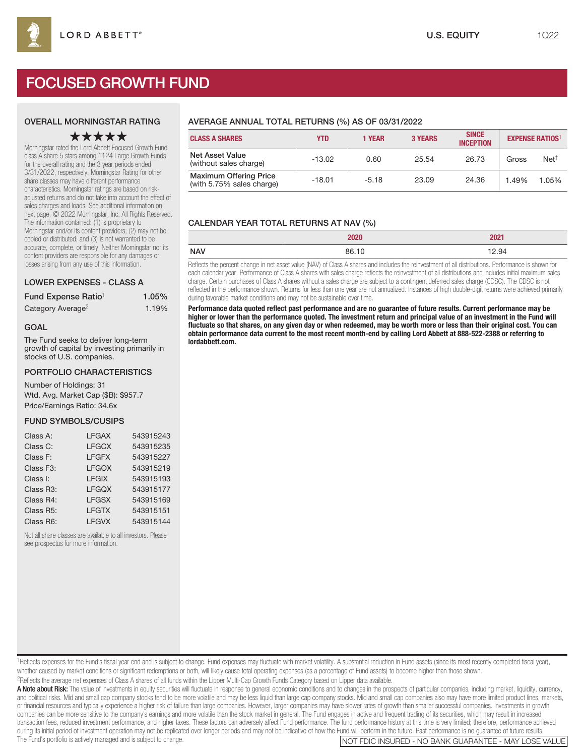# FOCUSED GROWTH FUND

## OVERALL MORNINGSTAR RATING

## ★★★★★

Morningstar rated the Lord Abbett Focused Growth Fund class A share 5 stars among 1124 Large Growth Funds for the overall rating and the 3 year periods ended 3/31/2022, respectively. Morningstar Rating for other share classes may have different performance characteristics. Morningstar ratings are based on riskadjusted returns and do not take into account the effect of sales charges and loads. See additional information on next page. © 2022 Morningstar, Inc. All Rights Reserved. The information contained: (1) is proprietary to Morningstar and/or its content providers; (2) may not be copied or distributed; and (3) is not warranted to be accurate, complete, or timely. Neither Morningstar nor its content providers are responsible for any damages or losses arising from any use of this information.

#### LOWER EXPENSES - CLASS A

| Fund Expense Ratio <sup>1</sup> | 1.05% |
|---------------------------------|-------|
| Category Average <sup>2</sup>   | 1.19% |

#### GOAL

The Fund seeks to deliver long-term growth of capital by investing primarily in stocks of U.S. companies.

#### PORTFOLIO CHARACTERISTICS

Number of Holdings: 31 Wtd. Avg. Market Cap (\$B): \$957.7 Price/Earnings Ratio: 34.6x

#### FUND SYMBOLS/CUSIPS

| Class A:  | <b>LFGAX</b> | 543915243 |
|-----------|--------------|-----------|
| Class C:  | <b>LFGCX</b> | 543915235 |
| Class F:  | <b>LFGFX</b> | 543915227 |
| Class F3: | <b>LFGOX</b> | 543915219 |
| Class I:  | <b>LFGIX</b> | 543915193 |
| Class R3: | <b>LFGQX</b> | 543915177 |
| Class R4: | <b>LFGSX</b> | 543915169 |
| Class R5: | <b>LFGTX</b> | 543915151 |
| Class R6: | <b>LFGVX</b> | 543915144 |

Not all share classes are available to all investors. Please see prospectus for more information.

## AVERAGE ANNUAL TOTAL RETURNS (%) AS OF 03/31/2022

| <b>CLASS A SHARES</b>                                      | YTD      | <b>1 YEAR</b> | <b>3 YEARS</b> | <b>SINCE</b><br><b>INCEPTION</b> | <b>EXPENSE RATIOS</b> |                  |
|------------------------------------------------------------|----------|---------------|----------------|----------------------------------|-----------------------|------------------|
| Net Asset Value<br>(without sales charge)                  | $-13.02$ | 0.60          | 25.54          | 26.73                            | Gross                 | Net <sup>†</sup> |
| <b>Maximum Offering Price</b><br>(with 5.75% sales charge) | $-18.01$ | $-5.18$       | 23.09          | 24.36                            | 1.49%                 | 1.05%            |

## CALENDAR YEAR TOTAL RETURNS AT NAV (%)

|            | 2020  | 2021  |
|------------|-------|-------|
| <b>NAV</b> | 86.10 | 12.94 |

Reflects the percent change in net asset value (NAV) of Class A shares and includes the reinvestment of all distributions. Performance is shown for each calendar year. Performance of Class A shares with sales charge reflects the reinvestment of all distributions and includes initial maximum sales charge. Certain purchases of Class A shares without a sales charge are subject to a contingent deferred sales charge (CDSC). The CDSC is not reflected in the performance shown. Returns for less than one year are not annualized. Instances of high double-digit returns were achieved primarily during favorable market conditions and may not be sustainable over time.

**Performance data quoted reflect past performance and are no guarantee of future results. Current performance may be higher or lower than the performance quoted. The investment return and principal value of an investment in the Fund will fluctuate so that shares, on any given day or when redeemed, may be worth more or less than their original cost. You can obtain performance data current to the most recent month-end by calling Lord Abbett at 888-522-2388 or referring to lordabbett.com.**

A Note about Risk: The value of investments in equity securities will fluctuate in response to general economic conditions and to changes in the prospects of particular companies, including market, liquidity, currency, and political risks. Mid and small cap company stocks tend to be more volatile and may be less liquid than large cap company stocks. Mid and small cap companies also may have more limited product lines, markets, or financial resources and typically experience a higher risk of failure than large companies. However, larger companies may have slower rates of growth than smaller successful companies. Investments in growth companies can be more sensitive to the company's earnings and more volatile than the stock market in general. The Fund engages in active and frequent trading of its securities, which may result in increased transaction fees, reduced investment performance, and higher taxes. These factors can adversely affect Fund performance. The fund performance history at this time is very limited; therefore, performance achieved during its initial period of investment operation may not be replicated over longer periods and may not be indicative of how the Fund will perform in the future. Past performance is no guarantee of future results.<br>The Fund NOT FDIC INSURED - NO BANK GUARANTEE - MAY LOSE VALUE